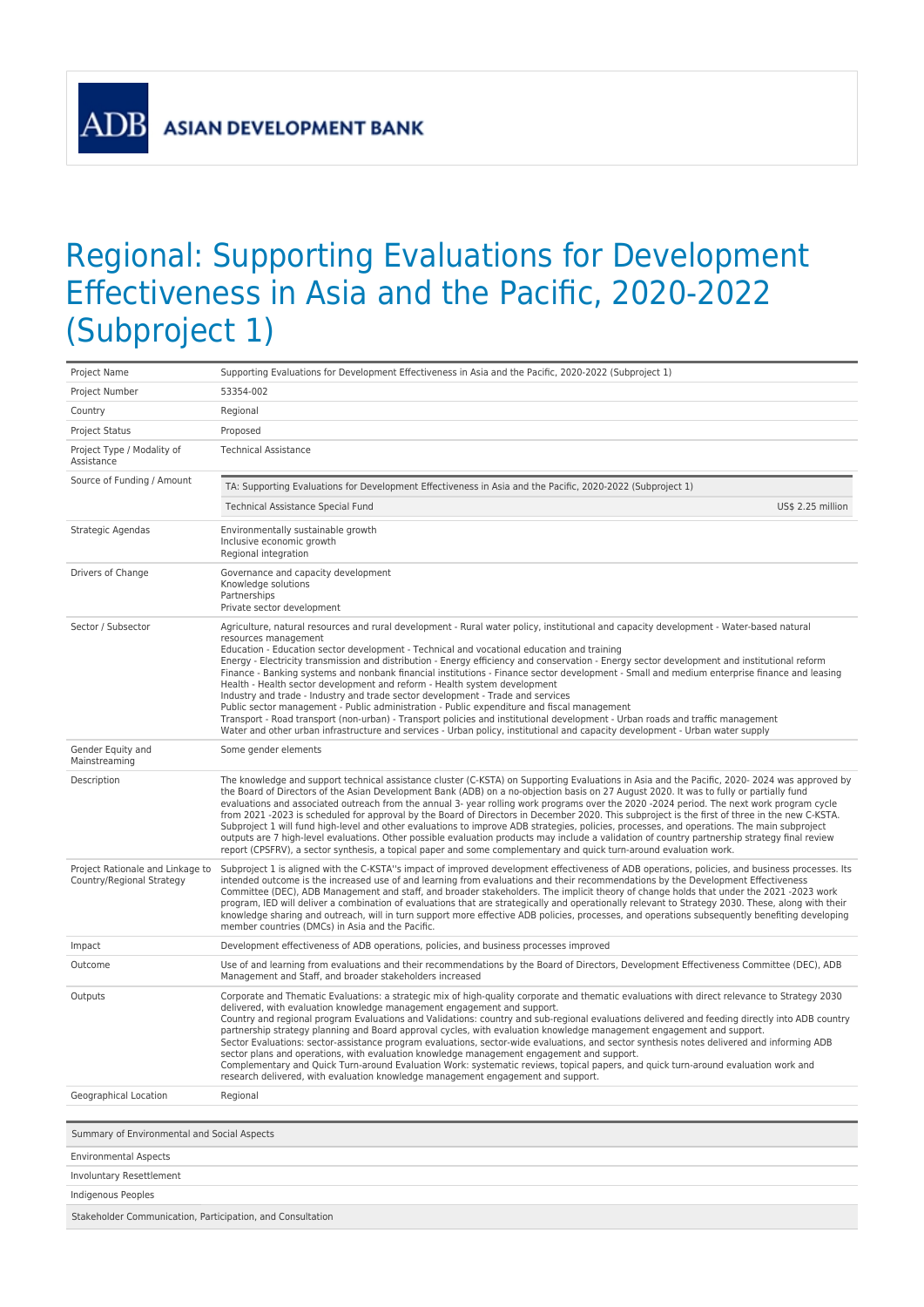**ASIAN DEVELOPMENT BANK** 

## Regional: Supporting Evaluations for Development Effectiveness in Asia and the Pacific, 2020-2022 (Subproject 1)

| Project Name                                                  | Supporting Evaluations for Development Effectiveness in Asia and the Pacific, 2020-2022 (Subproject 1)                                                                                                                                                                                                                                                                                                                                                                                                                                                                                                                                                                                                                                                                                                                                                                                                                                                                                                                                                                                         |
|---------------------------------------------------------------|------------------------------------------------------------------------------------------------------------------------------------------------------------------------------------------------------------------------------------------------------------------------------------------------------------------------------------------------------------------------------------------------------------------------------------------------------------------------------------------------------------------------------------------------------------------------------------------------------------------------------------------------------------------------------------------------------------------------------------------------------------------------------------------------------------------------------------------------------------------------------------------------------------------------------------------------------------------------------------------------------------------------------------------------------------------------------------------------|
| Project Number                                                | 53354-002                                                                                                                                                                                                                                                                                                                                                                                                                                                                                                                                                                                                                                                                                                                                                                                                                                                                                                                                                                                                                                                                                      |
| Country                                                       | Regional                                                                                                                                                                                                                                                                                                                                                                                                                                                                                                                                                                                                                                                                                                                                                                                                                                                                                                                                                                                                                                                                                       |
| <b>Project Status</b>                                         | Proposed                                                                                                                                                                                                                                                                                                                                                                                                                                                                                                                                                                                                                                                                                                                                                                                                                                                                                                                                                                                                                                                                                       |
| Project Type / Modality of<br>Assistance                      | <b>Technical Assistance</b>                                                                                                                                                                                                                                                                                                                                                                                                                                                                                                                                                                                                                                                                                                                                                                                                                                                                                                                                                                                                                                                                    |
| Source of Funding / Amount                                    | TA: Supporting Evaluations for Development Effectiveness in Asia and the Pacific, 2020-2022 (Subproject 1)                                                                                                                                                                                                                                                                                                                                                                                                                                                                                                                                                                                                                                                                                                                                                                                                                                                                                                                                                                                     |
|                                                               | Technical Assistance Special Fund<br>US\$ 2.25 million                                                                                                                                                                                                                                                                                                                                                                                                                                                                                                                                                                                                                                                                                                                                                                                                                                                                                                                                                                                                                                         |
| Strategic Agendas                                             | Environmentally sustainable growth<br>Inclusive economic growth<br>Regional integration                                                                                                                                                                                                                                                                                                                                                                                                                                                                                                                                                                                                                                                                                                                                                                                                                                                                                                                                                                                                        |
| Drivers of Change                                             | Governance and capacity development<br>Knowledge solutions<br>Partnerships<br>Private sector development                                                                                                                                                                                                                                                                                                                                                                                                                                                                                                                                                                                                                                                                                                                                                                                                                                                                                                                                                                                       |
| Sector / Subsector                                            | Agriculture, natural resources and rural development - Rural water policy, institutional and capacity development - Water-based natural<br>resources management<br>Education - Education sector development - Technical and vocational education and training<br>Energy - Electricity transmission and distribution - Energy efficiency and conservation - Energy sector development and institutional reform<br>Finance - Banking systems and nonbank financial institutions - Finance sector development - Small and medium enterprise finance and leasing<br>Health - Health sector development and reform - Health system development<br>Industry and trade - Industry and trade sector development - Trade and services<br>Public sector management - Public administration - Public expenditure and fiscal management<br>Transport - Road transport (non-urban) - Transport policies and institutional development - Urban roads and traffic management<br>Water and other urban infrastructure and services - Urban policy, institutional and capacity development - Urban water supply |
| Gender Equity and<br>Mainstreaming                            | Some gender elements                                                                                                                                                                                                                                                                                                                                                                                                                                                                                                                                                                                                                                                                                                                                                                                                                                                                                                                                                                                                                                                                           |
| Description                                                   | The knowledge and support technical assistance cluster (C-KSTA) on Supporting Evaluations in Asia and the Pacific, 2020-2024 was approved by<br>the Board of Directors of the Asian Development Bank (ADB) on a no-objection basis on 27 August 2020. It was to fully or partially fund<br>evaluations and associated outreach from the annual 3- year rolling work programs over the 2020 -2024 period. The next work program cycle<br>from 2021 -2023 is scheduled for approval by the Board of Directors in December 2020. This subproject is the first of three in the new C-KSTA.<br>Subproject 1 will fund high-level and other evaluations to improve ADB strategies, policies, processes, and operations. The main subproject<br>outputs are 7 high-level evaluations. Other possible evaluation products may include a validation of country partnership strategy final review<br>report (CPSFRV), a sector synthesis, a topical paper and some complementary and quick turn-around evaluation work.                                                                                  |
| Project Rationale and Linkage to<br>Country/Regional Strategy | Subproject 1 is aligned with the C-KSTA"s impact of improved development effectiveness of ADB operations, policies, and business processes. Its<br>intended outcome is the increased use of and learning from evaluations and their recommendations by the Development Effectiveness<br>Committee (DEC), ADB Management and staff, and broader stakeholders. The implicit theory of change holds that under the 2021 -2023 work<br>program, IED will deliver a combination of evaluations that are strategically and operationally relevant to Strategy 2030. These, along with their<br>knowledge sharing and outreach, will in turn support more effective ADB policies, processes, and operations subsequently benefiting developing<br>member countries (DMCs) in Asia and the Pacific.                                                                                                                                                                                                                                                                                                    |
| Impact                                                        | Development effectiveness of ADB operations, policies, and business processes improved                                                                                                                                                                                                                                                                                                                                                                                                                                                                                                                                                                                                                                                                                                                                                                                                                                                                                                                                                                                                         |
| Outcome                                                       | Use of and learning from evaluations and their recommendations by the Board of Directors, Development Effectiveness Committee (DEC), ADB<br>Management and Staff, and broader stakeholders increased                                                                                                                                                                                                                                                                                                                                                                                                                                                                                                                                                                                                                                                                                                                                                                                                                                                                                           |
| Outputs                                                       | Corporate and Thematic Evaluations: a strategic mix of high-quality corporate and thematic evaluations with direct relevance to Strategy 2030<br>delivered, with evaluation knowledge management engagement and support.<br>Country and regional program Evaluations and Validations: country and sub-regional evaluations delivered and feeding directly into ADB country<br>partnership strategy planning and Board approval cycles, with evaluation knowledge management engagement and support.<br>Sector Evaluations: sector-assistance program evaluations, sector-wide evaluations, and sector synthesis notes delivered and informing ADB<br>sector plans and operations, with evaluation knowledge management engagement and support.<br>Complementary and Quick Turn-around Evaluation Work: systematic reviews, topical papers, and quick turn-around evaluation work and<br>research delivered, with evaluation knowledge management engagement and support.                                                                                                                       |
| Geographical Location                                         | Regional                                                                                                                                                                                                                                                                                                                                                                                                                                                                                                                                                                                                                                                                                                                                                                                                                                                                                                                                                                                                                                                                                       |
|                                                               |                                                                                                                                                                                                                                                                                                                                                                                                                                                                                                                                                                                                                                                                                                                                                                                                                                                                                                                                                                                                                                                                                                |
| Summary of Environmental and Social Aspects                   |                                                                                                                                                                                                                                                                                                                                                                                                                                                                                                                                                                                                                                                                                                                                                                                                                                                                                                                                                                                                                                                                                                |
| <b>Environmental Aspects</b>                                  |                                                                                                                                                                                                                                                                                                                                                                                                                                                                                                                                                                                                                                                                                                                                                                                                                                                                                                                                                                                                                                                                                                |
| Involuntary Resettlement                                      |                                                                                                                                                                                                                                                                                                                                                                                                                                                                                                                                                                                                                                                                                                                                                                                                                                                                                                                                                                                                                                                                                                |

Indigenous Peoples

Stakeholder Communication, Participation, and Consultation